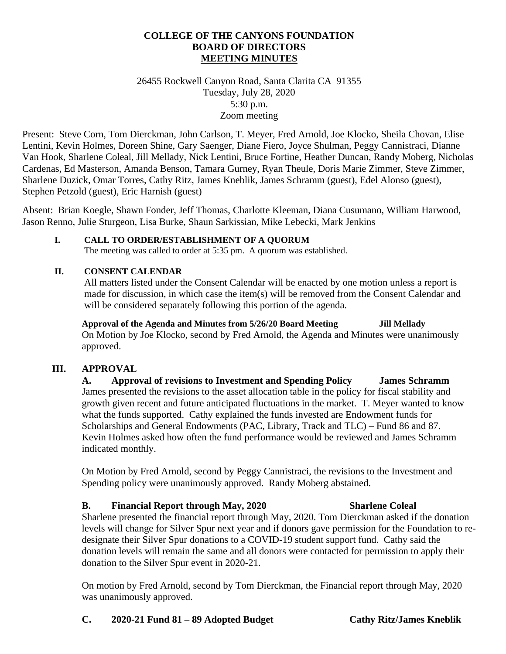#### **COLLEGE OF THE CANYONS FOUNDATION BOARD OF DIRECTORS MEETING MINUTES**

26455 Rockwell Canyon Road, Santa Clarita CA 91355 Tuesday, July 28, 2020 5:30 p.m. Zoom meeting

Present: Steve Corn, Tom Dierckman, John Carlson, T. Meyer, Fred Arnold, Joe Klocko, Sheila Chovan, Elise Lentini, Kevin Holmes, Doreen Shine, Gary Saenger, Diane Fiero, Joyce Shulman, Peggy Cannistraci, Dianne Van Hook, Sharlene Coleal, Jill Mellady, Nick Lentini, Bruce Fortine, Heather Duncan, Randy Moberg, Nicholas Cardenas, Ed Masterson, Amanda Benson, Tamara Gurney, Ryan Theule, Doris Marie Zimmer, Steve Zimmer, Sharlene Duzick, Omar Torres, Cathy Ritz, James Kneblik, James Schramm (guest), Edel Alonso (guest), Stephen Petzold (guest), Eric Harnish (guest)

Absent: Brian Koegle, Shawn Fonder, Jeff Thomas, Charlotte Kleeman, Diana Cusumano, William Harwood, Jason Renno, Julie Sturgeon, Lisa Burke, Shaun Sarkissian, Mike Lebecki, Mark Jenkins

**I. CALL TO ORDER/ESTABLISHMENT OF A QUORUM** The meeting was called to order at 5:35 pm. A quorum was established.

#### **II. CONSENT CALENDAR**

All matters listed under the Consent Calendar will be enacted by one motion unless a report is made for discussion, in which case the item(s) will be removed from the Consent Calendar and will be considered separately following this portion of the agenda.

**Approval of the Agenda and Minutes from 5/26/20 Board Meeting Jill Mellady** On Motion by Joe Klocko, second by Fred Arnold, the Agenda and Minutes were unanimously approved.

## **III. APPROVAL**

**A. Approval of revisions to Investment and Spending Policy James Schramm** James presented the revisions to the asset allocation table in the policy for fiscal stability and growth given recent and future anticipated fluctuations in the market. T. Meyer wanted to know what the funds supported. Cathy explained the funds invested are Endowment funds for Scholarships and General Endowments (PAC, Library, Track and TLC) – Fund 86 and 87. Kevin Holmes asked how often the fund performance would be reviewed and James Schramm indicated monthly.

On Motion by Fred Arnold, second by Peggy Cannistraci, the revisions to the Investment and Spending policy were unanimously approved. Randy Moberg abstained.

## **B. Financial Report through May, 2020 Sharlene Coleal**

Sharlene presented the financial report through May, 2020. Tom Dierckman asked if the donation levels will change for Silver Spur next year and if donors gave permission for the Foundation to redesignate their Silver Spur donations to a COVID-19 student support fund. Cathy said the donation levels will remain the same and all donors were contacted for permission to apply their donation to the Silver Spur event in 2020-21.

On motion by Fred Arnold, second by Tom Dierckman, the Financial report through May, 2020 was unanimously approved.